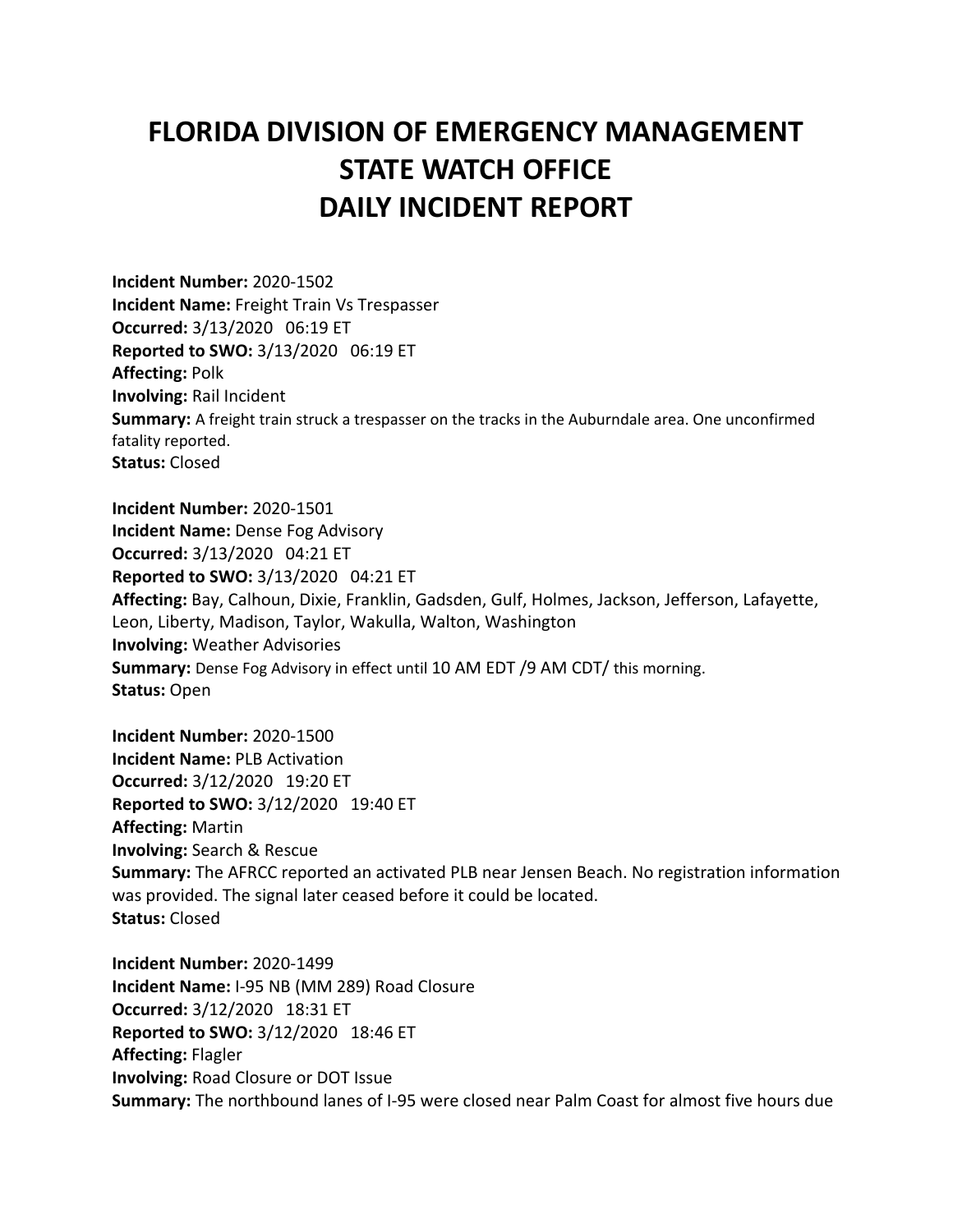## **FLORIDA DIVISION OF EMERGENCY MANAGEMENT STATE WATCH OFFICE DAILY INCIDENT REPORT**

**Incident Number:** 2020-1502 **Incident Name:** Freight Train Vs Trespasser **Occurred:** 3/13/2020 06:19 ET **Reported to SWO:** 3/13/2020 06:19 ET **Affecting:** Polk **Involving:** Rail Incident **Summary:** A freight train struck a trespasser on the tracks in the Auburndale area. One unconfirmed fatality reported. **Status:** Closed **Incident Number:** 2020-1501

**Incident Name:** Dense Fog Advisory **Occurred:** 3/13/2020 04:21 ET **Reported to SWO:** 3/13/2020 04:21 ET **Affecting:** Bay, Calhoun, Dixie, Franklin, Gadsden, Gulf, Holmes, Jackson, Jefferson, Lafayette, Leon, Liberty, Madison, Taylor, Wakulla, Walton, Washington **Involving:** Weather Advisories **Summary:** Dense Fog Advisory in effect until 10 AM EDT /9 AM CDT/ this morning. **Status:** Open

**Incident Number:** 2020-1500 **Incident Name:** PLB Activation **Occurred:** 3/12/2020 19:20 ET **Reported to SWO:** 3/12/2020 19:40 ET **Affecting:** Martin **Involving:** Search & Rescue **Summary:** The AFRCC reported an activated PLB near Jensen Beach. No registration information was provided. The signal later ceased before it could be located. **Status:** Closed

**Incident Number:** 2020-1499 **Incident Name:** I-95 NB (MM 289) Road Closure **Occurred:** 3/12/2020 18:31 ET **Reported to SWO:** 3/12/2020 18:46 ET **Affecting:** Flagler **Involving:** Road Closure or DOT Issue **Summary:** The northbound lanes of I-95 were closed near Palm Coast for almost five hours due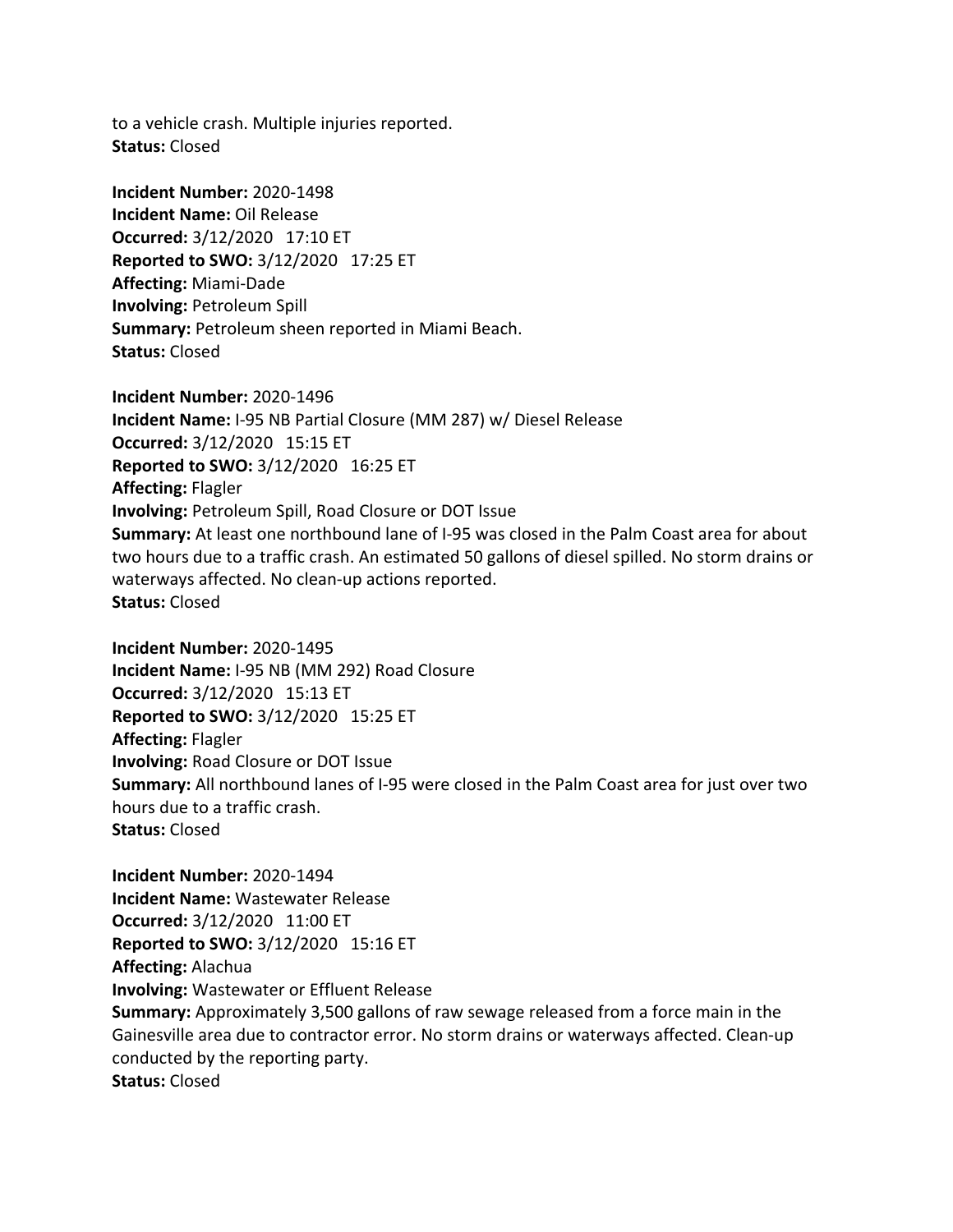to a vehicle crash. Multiple injuries reported. **Status:** Closed

**Incident Number:** 2020-1498 **Incident Name:** Oil Release **Occurred:** 3/12/2020 17:10 ET **Reported to SWO:** 3/12/2020 17:25 ET **Affecting:** Miami-Dade **Involving:** Petroleum Spill **Summary:** Petroleum sheen reported in Miami Beach. **Status:** Closed

**Incident Number:** 2020-1496 **Incident Name:** I-95 NB Partial Closure (MM 287) w/ Diesel Release **Occurred:** 3/12/2020 15:15 ET **Reported to SWO:** 3/12/2020 16:25 ET **Affecting:** Flagler **Involving:** Petroleum Spill, Road Closure or DOT Issue **Summary:** At least one northbound lane of I-95 was closed in the Palm Coast area for about two hours due to a traffic crash. An estimated 50 gallons of diesel spilled. No storm drains or waterways affected. No clean-up actions reported. **Status:** Closed

**Incident Number:** 2020-1495 **Incident Name:** I-95 NB (MM 292) Road Closure **Occurred:** 3/12/2020 15:13 ET **Reported to SWO:** 3/12/2020 15:25 ET **Affecting:** Flagler **Involving:** Road Closure or DOT Issue **Summary:** All northbound lanes of I-95 were closed in the Palm Coast area for just over two hours due to a traffic crash. **Status:** Closed

**Incident Number:** 2020-1494 **Incident Name:** Wastewater Release **Occurred:** 3/12/2020 11:00 ET **Reported to SWO:** 3/12/2020 15:16 ET **Affecting:** Alachua **Involving:** Wastewater or Effluent Release **Summary:** Approximately 3,500 gallons of raw sewage released from a force main in the Gainesville area due to contractor error. No storm drains or waterways affected. Clean-up conducted by the reporting party. **Status:** Closed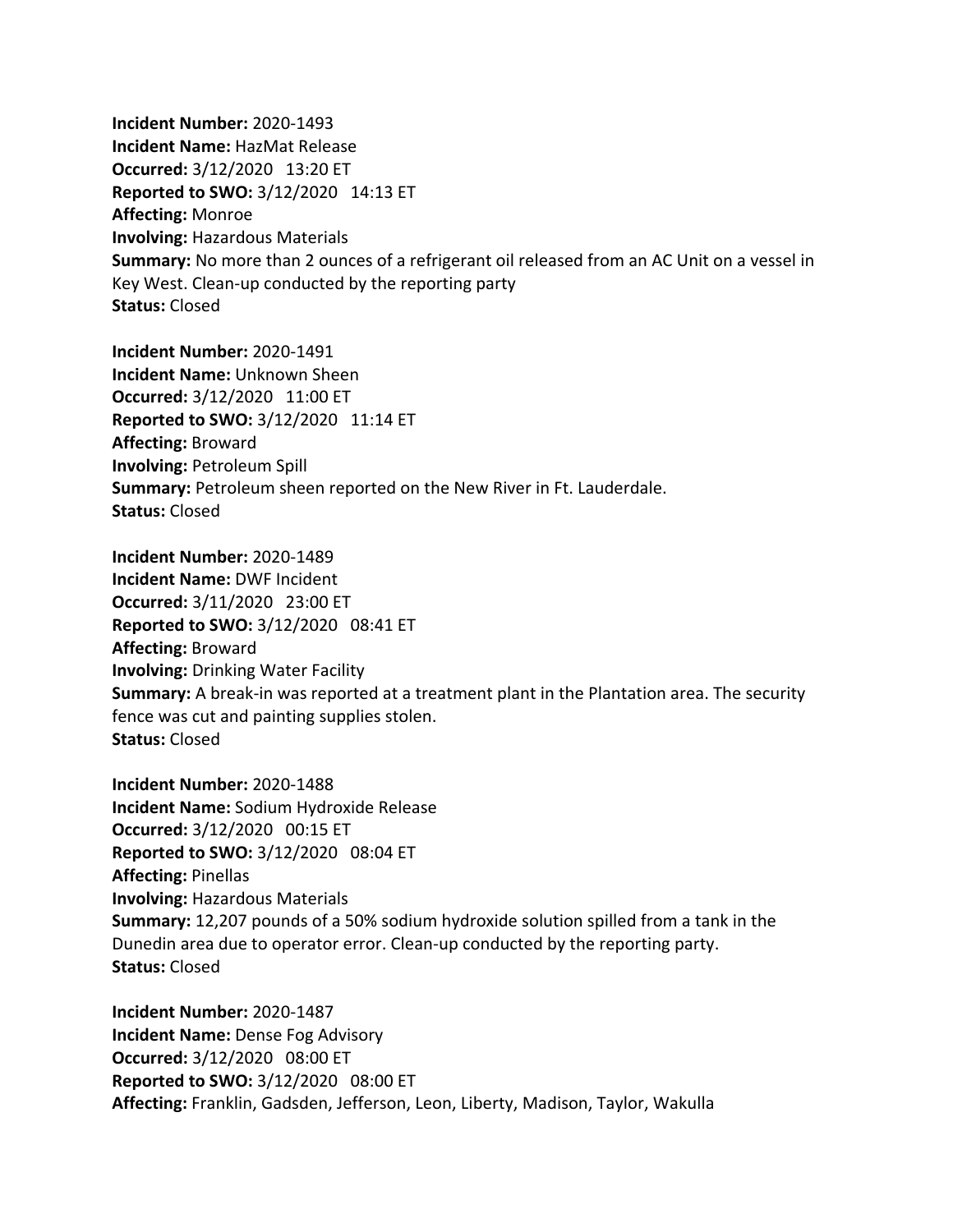**Incident Number:** 2020-1493 **Incident Name:** HazMat Release **Occurred:** 3/12/2020 13:20 ET **Reported to SWO:** 3/12/2020 14:13 ET **Affecting:** Monroe **Involving:** Hazardous Materials **Summary:** No more than 2 ounces of a refrigerant oil released from an AC Unit on a vessel in Key West. Clean-up conducted by the reporting party **Status:** Closed

**Incident Number:** 2020-1491 **Incident Name:** Unknown Sheen **Occurred:** 3/12/2020 11:00 ET **Reported to SWO:** 3/12/2020 11:14 ET **Affecting:** Broward **Involving:** Petroleum Spill **Summary:** Petroleum sheen reported on the New River in Ft. Lauderdale. **Status:** Closed

**Incident Number:** 2020-1489 **Incident Name:** DWF Incident **Occurred:** 3/11/2020 23:00 ET **Reported to SWO:** 3/12/2020 08:41 ET **Affecting:** Broward **Involving:** Drinking Water Facility **Summary:** A break-in was reported at a treatment plant in the Plantation area. The security fence was cut and painting supplies stolen. **Status:** Closed

**Incident Number:** 2020-1488 **Incident Name:** Sodium Hydroxide Release **Occurred:** 3/12/2020 00:15 ET **Reported to SWO:** 3/12/2020 08:04 ET **Affecting:** Pinellas **Involving:** Hazardous Materials **Summary:** 12,207 pounds of a 50% sodium hydroxide solution spilled from a tank in the Dunedin area due to operator error. Clean-up conducted by the reporting party. **Status:** Closed

**Incident Number:** 2020-1487 **Incident Name:** Dense Fog Advisory **Occurred:** 3/12/2020 08:00 ET **Reported to SWO:** 3/12/2020 08:00 ET **Affecting:** Franklin, Gadsden, Jefferson, Leon, Liberty, Madison, Taylor, Wakulla